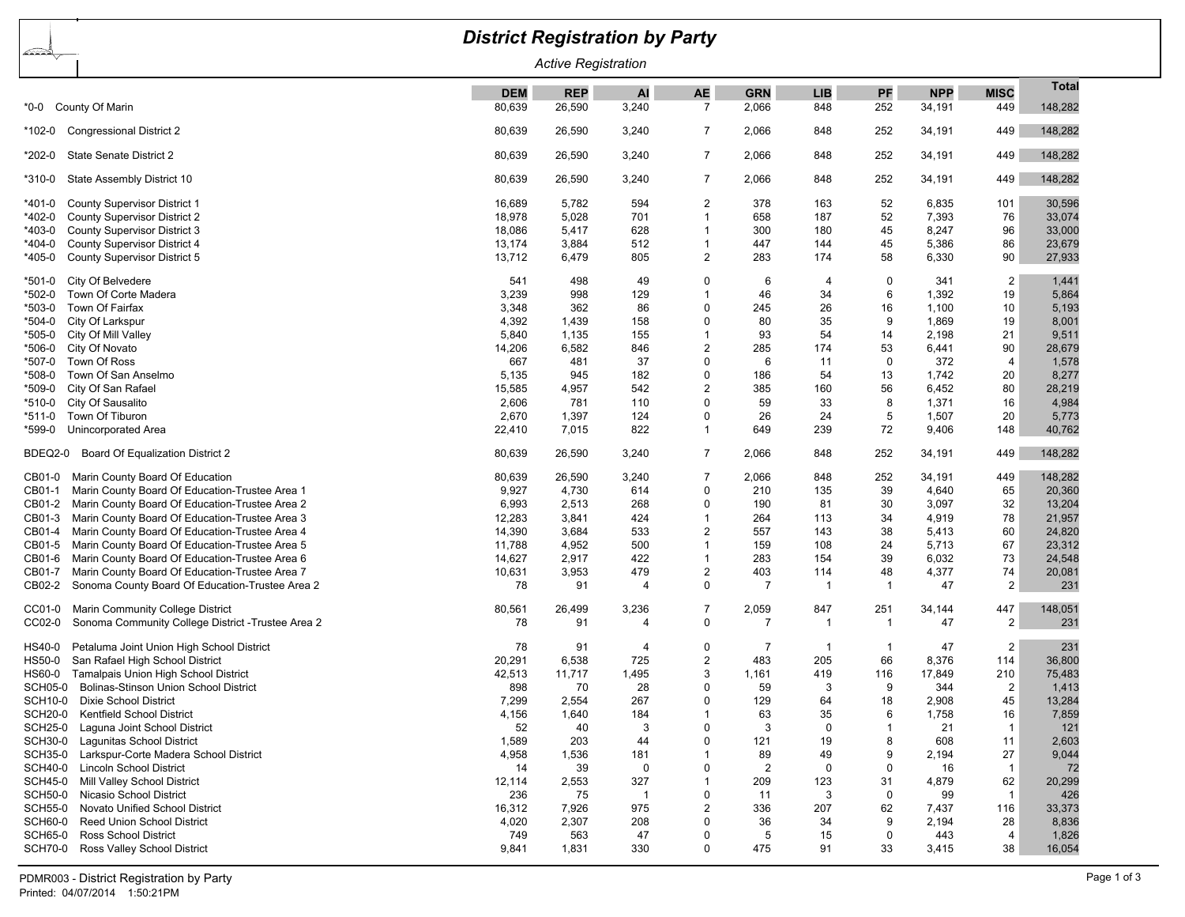| <b>District Registration by Party</b>                                                                   |                 |                |                |                               |                |             |                |                |                         |                 |  |
|---------------------------------------------------------------------------------------------------------|-----------------|----------------|----------------|-------------------------------|----------------|-------------|----------------|----------------|-------------------------|-----------------|--|
| <u>aras </u><br><b>Active Registration</b>                                                              |                 |                |                |                               |                |             |                |                |                         |                 |  |
|                                                                                                         | <b>DEM</b>      | <b>REP</b>     | AI             | <b>AE</b>                     | <b>GRN</b>     | <b>LIB</b>  | PF             | <b>NPP</b>     | <b>MISC</b>             | <b>Total</b>    |  |
| *0-0 County Of Marin                                                                                    | 80,639          | 26,590         | 3,240          | 7                             | 2,066          | 848         | 252            | 34,191         | 449                     | 148,282         |  |
| <b>Congressional District 2</b><br>*102-0                                                               | 80,639          | 26,590         | 3,240          | 7                             | 2,066          | 848         | 252            | 34,191         | 449                     | 148,282         |  |
| State Senate District 2<br>*202-0                                                                       | 80,639          | 26,590         | 3,240          | 7                             | 2,066          | 848         | 252            | 34,191         | 449                     | 148,282         |  |
| State Assembly District 10<br>*310-0                                                                    | 80,639          | 26,590         | 3,240          | 7                             | 2,066          | 848         | 252            | 34,191         | 449                     | 148,282         |  |
| <b>County Supervisor District 1</b><br>*401-0                                                           | 16,689          | 5,782          | 594            | $\overline{2}$                | 378            | 163         | 52             | 6,835          | 101                     | 30,596          |  |
| *402-0<br><b>County Supervisor District 2</b>                                                           | 18,978          | 5,028          | 701            | $\overline{1}$                | 658            | 187         | 52             | 7,393          | 76                      | 33,074          |  |
| *403-0<br><b>County Supervisor District 3</b>                                                           | 18,086          | 5,417          | 628            | $\overline{1}$                | 300            | 180         | 45             | 8,247          | 96                      | 33,000          |  |
| County Supervisor District 4<br>*404-0                                                                  | 13,174          | 3,884          | 512            | $\overline{1}$                | 447            | 144         | 45             | 5,386          | 86                      | 23,679          |  |
| County Supervisor District 5<br>*405-0                                                                  | 13,712          | 6,479          | 805            | 2                             | 283            | 174         | 58             | 6,330          | 90                      | 27,933          |  |
| City Of Belvedere<br>*501-0                                                                             | 541             | 498            | 49             | 0                             | 6              | 4           | 0              | 341            | 2                       | 1,441           |  |
| Town Of Corte Madera<br>*502-0                                                                          | 3,239           | 998            | 129            | -1                            | 46             | 34          | 6              | 1,392          | 19                      | 5,864           |  |
| *503-0<br>Town Of Fairfax                                                                               | 3,348           | 362            | 86             | $\Omega$                      | 245            | 26          | 16             | 1,100          | 10                      | 5,193           |  |
| City Of Larkspur<br>*504-0                                                                              | 4,392           | 1,439          | 158            | $\Omega$                      | 80             | 35          | 9              | 1,869          | 19                      | 8,001           |  |
| City Of Mill Valley<br>*505-0                                                                           | 5,840           | 1,135          | 155            | -1                            | 93             | 54          | 14             | 2,198          | 21                      | 9,511           |  |
| City Of Novato<br>*506-0                                                                                | 14,206          | 6,582          | 846            | $\overline{2}$                | 285            | 174         | 53             | 6,441          | 90                      | 28,679          |  |
| Town Of Ross<br>*507-0                                                                                  | 667             | 481            | 37             | 0                             | 6              | 11          | $\Omega$       | 372            | $\overline{4}$          | 1,578           |  |
| Town Of San Anselmo<br>*508-0                                                                           | 5,135           | 945            | 182            | 0                             | 186            | 54          | 13             | 1,742          | 20                      | 8,277           |  |
| City Of San Rafael<br>*509-0                                                                            | 15,585          | 4,957          | 542            | $\overline{2}$<br>$\mathbf 0$ | 385<br>59      | 160         | 56<br>8        | 6,452          | 80                      | 28,219          |  |
| City Of Sausalito<br>*510-0                                                                             | 2,606<br>2,670  | 781            | 110<br>124     | 0                             | 26             | 33<br>24    | 5              | 1,371          | 16                      | 4,984           |  |
| Town Of Tiburon<br>*511-0<br>Unincorporated Area<br>*599-0                                              | 22,410          | 1,397<br>7,015 | 822            | $\mathbf 1$                   | 649            | 239         | 72             | 1,507<br>9,406 | 20<br>148               | 5,773<br>40,762 |  |
|                                                                                                         |                 |                |                |                               |                |             |                |                |                         |                 |  |
| Board Of Equalization District 2<br>BDEQ2-0                                                             | 80,639          | 26,590         | 3,240          | 7                             | 2,066          | 848         | 252            | 34,191         | 449                     | 148,282         |  |
| CB01-0<br>Marin County Board Of Education                                                               | 80,639          | 26,590         | 3,240          | -7                            | 2,066          | 848         | 252            | 34,191         | 449                     | 148,282         |  |
| Marin County Board Of Education-Trustee Area 1<br>CB01-1                                                | 9,927           | 4,730          | 614            | 0                             | 210            | 135         | 39             | 4,640          | 65                      | 20,360          |  |
| CB01-2<br>Marin County Board Of Education-Trustee Area 2                                                | 6,993           | 2,513          | 268            | 0                             | 190            | 81          | 30             | 3,097          | 32                      | 13,204          |  |
| CB01-3<br>Marin County Board Of Education-Trustee Area 3                                                | 12,283          | 3,841          | 424            | $\mathbf 1$                   | 264            | 113         | 34             | 4,919          | 78                      | 21,957          |  |
| Marin County Board Of Education-Trustee Area 4<br>CB01-4                                                | 14,390          | 3,684          | 533            | $\overline{2}$                | 557            | 143         | 38             | 5,413          | 60                      | 24,820          |  |
| CB01-5<br>Marin County Board Of Education-Trustee Area 5                                                | 11,788          | 4,952          | 500            | $\mathbf 1$                   | 159            | 108         | 24             | 5,713          | 67                      | 23,312          |  |
| Marin County Board Of Education-Trustee Area 6<br>CB01-6                                                | 14,627          | 2,917          | 422            | $\overline{1}$                | 283            | 154         | 39             | 6,032          | 73                      | 24,548          |  |
| Marin County Board Of Education-Trustee Area 7<br>CB01-7                                                | 10,631          | 3,953          | 479            | 2                             | 403            | 114         | 48             | 4,377          | 74                      | 20,081          |  |
| CB02-2<br>Sonoma County Board Of Education-Trustee Area 2                                               | 78              | 91             | $\overline{4}$ | 0                             | 7              | -1          | $\overline{1}$ | 47             | $\overline{2}$          | 231             |  |
| Marin Community College District<br>CC01-0                                                              | 80,561          | 26,499         | 3,236          | 7                             | 2,059          | 847         | 251            | 34,144         | 447                     | 148,051         |  |
| Sonoma Community College District - Trustee Area 2<br>CC02-0                                            | 78              | 91             | $\overline{4}$ | $\mathbf 0$                   | $\overline{7}$ | -1          | -1             | 47             | 2                       | 231             |  |
| Petaluma Joint Union High School District<br>HS40-0                                                     | 78              | 91             | 4              | 0                             | 7              | -1          | -1             | 47             | $\overline{\mathbf{c}}$ | 231             |  |
| San Rafael High School District<br>HS50-0                                                               | 20,291          | 6,538          | 725            | $\overline{2}$                | 483            | 205         | 66             | 8,376          | 114                     | 36,800          |  |
| Tamalpais Union High School District<br>HS60-0                                                          | 42,513          | 11,717         | 1,495          | 3                             | 1,161          | 419         | 116            | 17,849         | 210                     | 75,483          |  |
| <b>SCH05-0</b><br>Bolinas-Stinson Union School District                                                 | 898             | 70             | 28             | $\Omega$                      | 59             | 3           | 9              | 344            | 2                       | 1,413           |  |
| SCH10-0 Dixie School District                                                                           | 7,299           | 2,554          | 267            | 0                             | 129            | 64          | 18             | 2,908          | 45                      | 13,284          |  |
| <b>SCH20-0</b><br>Kentfield School District                                                             | 4,156           | 1,640          | 184            | $\mathbf 1$                   | 63             | 35          | 6              | 1,758          | 16                      | 7,859           |  |
| <b>SCH25-0</b><br>Laquna Joint School District                                                          | 52              | 40             | 3              | $\mathbf 0$                   | 3              | $\mathbf 0$ | $\mathbf 1$    | 21             | $\overline{1}$          | 121             |  |
| <b>SCH30-0</b><br>Lagunitas School District                                                             | 1,589           | 203            | 44             | $\Omega$                      | 121            | 19          | 8              | 608            | 11                      | 2,603           |  |
| <b>SCH35-0</b><br>Larkspur-Corte Madera School District                                                 | 4,958           | 1,536          | 181            | 1                             | 89             | 49          | 9              | 2,194          | 27                      | 9,044           |  |
| <b>SCH40-0</b><br><b>Lincoln School District</b>                                                        | 14              | 39             | $\mathbf 0$    | $\mathbf 0$                   | $\overline{2}$ | $\mathbf 0$ | $\mathbf 0$    | 16             | $\overline{1}$          | 72              |  |
| <b>SCH45-0</b><br>Mill Valley School District                                                           | 12,114          | 2,553          | 327            | 1                             | 209            | 123         | 31             | 4,879          | 62                      | 20,299          |  |
| Nicasio School District<br><b>SCH50-0</b>                                                               | 236             | 75             | $\overline{1}$ | $\mathbf 0$<br>$\overline{2}$ | 11             | 3           | $\pmb{0}$      | 99             | $\overline{1}$          | 426             |  |
| <b>SCH55-0</b><br>Novato Unified School District<br><b>SCH60-0</b><br><b>Reed Union School District</b> | 16,312<br>4,020 | 7,926<br>2,307 | 975<br>208     | $\mathbf 0$                   | 336<br>36      | 207<br>34   | 62<br>9        | 7,437<br>2,194 | 116<br>28               | 33,373<br>8,836 |  |
| <b>SCH65-0</b><br><b>Ross School District</b>                                                           | 749             | 563            | 47             | $\mathbf 0$                   | 5              | 15          | $\mathbf 0$    | 443            | 4                       | 1,826           |  |
| SCH70-0 Ross Valley School District                                                                     | 9,841           | 1,831          | 330            | $\mathbf 0$                   | 475            | 91          | 33             | 3,415          | 38                      | 16,054          |  |
|                                                                                                         |                 |                |                |                               |                |             |                |                |                         |                 |  |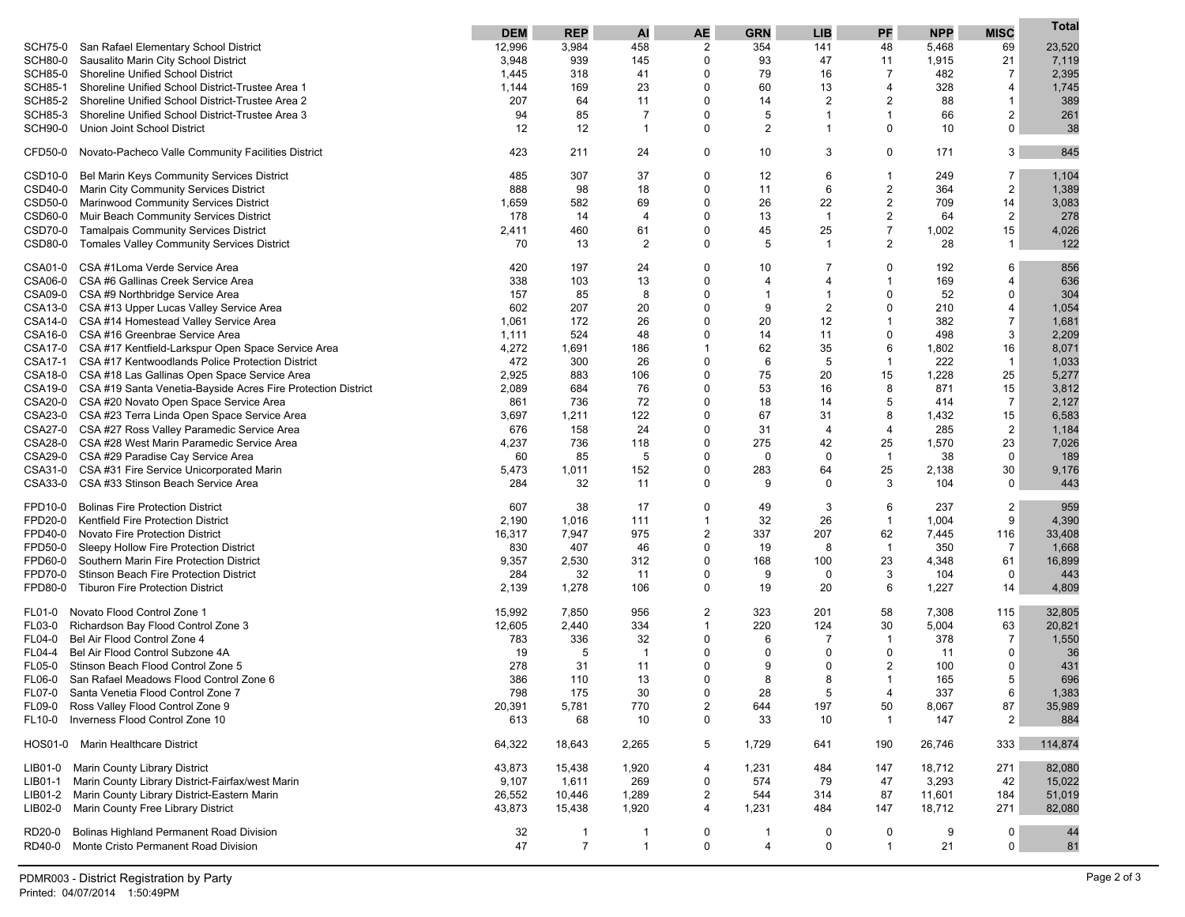|                |                                                                      | <b>DEM</b> | <b>REP</b>                     | <b>AI</b>      | <b>AE</b>      | <b>GRN</b>     | <b>LIB</b>     | PF               | <b>NPP</b> | <b>MISC</b>    | Total   |
|----------------|----------------------------------------------------------------------|------------|--------------------------------|----------------|----------------|----------------|----------------|------------------|------------|----------------|---------|
| <b>SCH75-0</b> | San Rafael Elementary School District                                | 12,996     | 3,984                          | 458            | 2              | 354            | 141            | 48               | 5,468      | 69             | 23,520  |
| <b>SCH80-0</b> | Sausalito Marin City School District                                 | 3,948      | 939                            | 145            | $\Omega$       | 93             | 47             | 11               | 1,915      | 21             | 7,119   |
| <b>SCH85-0</b> | <b>Shoreline Unified School District</b>                             | 1,445      | 318                            | 41             | $\Omega$       | 79             | 16             | $\overline{7}$   | 482        | $\overline{7}$ | 2,395   |
| <b>SCH85-1</b> | Shoreline Unified School District-Trustee Area 1                     | 1,144      | 169                            | 23             | $\Omega$       | 60             | 13             | $\overline{4}$   | 328        | $\overline{4}$ | 1,745   |
| <b>SCH85-2</b> | Shoreline Unified School District-Trustee Area 2                     | 207        | 64                             | 11             | $\Omega$       | 14             | $\overline{2}$ | $\overline{2}$   | 88         | $\mathbf{1}$   | 389     |
| <b>SCH85-3</b> | Shoreline Unified School District-Trustee Area 3                     | 94         | 85                             | 7              | $\Omega$       | 5              | -1             | $\mathbf 1$      | 66         | 2              | 261     |
| <b>SCH90-0</b> | Union Joint School District                                          | 12         | 12                             | 1              | 0              | $\overline{c}$ | 1              | $\mathbf{0}$     | 10         | $\mathbf 0$    | 38      |
|                |                                                                      |            |                                |                |                |                |                |                  |            |                |         |
| CFD50-0        | Novato-Pacheco Valle Community Facilities District                   | 423        | 211                            | 24             | 0              | 10             | 3              | 0                | 171        | 3              | 845     |
| CSD10-0        | Bel Marin Keys Community Services District                           | 485        | 307                            | 37             | 0              | 12             | 6              | -1               | 249        | 7              | 1,104   |
| CSD40-0        | Marin City Community Services District                               | 888        | 98                             | 18             | $\Omega$       | 11             | 6              | $\boldsymbol{2}$ | 364        | $\overline{2}$ | 1,389   |
| CSD50-0        | <b>Marinwood Community Services District</b>                         | 1,659      | 582                            | 69             | 0              | 26             | 22             | $\boldsymbol{2}$ | 709        | 14             | 3,083   |
| CSD60-0        | Muir Beach Community Services District                               | 178        | 14                             | $\overline{4}$ | $\Omega$       | 13             | $\overline{1}$ | $\overline{2}$   | 64         | $\overline{2}$ | 278     |
| CSD70-0        | <b>Tamalpais Community Services District</b>                         | 2,411      | 460                            | 61             | 0              | 45             | 25             | $\overline{7}$   | 1,002      | 15             | 4,026   |
| CSD80-0        | Tomales Valley Community Services District                           | 70         | 13                             | 2              | 0              | 5              | $\overline{1}$ | $\overline{2}$   | 28         | $\mathbf{1}$   | 122     |
| CSA01-0        | CSA #1Loma Verde Service Area                                        | 420        | 197                            | 24             | $\Omega$       | 10             | 7              | $\Omega$         | 192        | 6              | 856     |
| CSA06-0        | CSA #6 Gallinas Creek Service Area                                   | 338        | 103                            | 13             | 0              | 4              | 4              | $\mathbf 1$      | 169        | $\overline{4}$ | 636     |
|                | CSA09-0 CSA #9 Northbridge Service Area                              | 157        | 85                             | 8              | $\Omega$       | 1              | -1             | $\mathbf{0}$     | 52         | 0              | 304     |
|                | CSA13-0 CSA #13 Upper Lucas Valley Service Area                      | 602        | 207                            | 20             | $\Omega$       | 9              | $\overline{2}$ | $\Omega$         | 210        | $\overline{4}$ | 1,054   |
|                | CSA14-0 CSA #14 Homestead Valley Service Area                        | 1,061      | 172                            | 26             | $\Omega$       | 20             | 12             | $\mathbf 1$      | 382        | $\overline{7}$ | 1,681   |
|                | CSA16-0 CSA #16 Greenbrae Service Area                               | 1,111      | 524                            | 48             | $\Omega$       | 14             | 11             | $\mathbf{0}$     | 498        | 3              | 2,209   |
|                | CSA17-0 CSA #17 Kentfield-Larkspur Open Space Service Area           | 4,272      | 1,691                          | 186            | 1              | 62             | 35             | 6                | 1,802      | 16             | 8,071   |
| CSA17-1        | CSA #17 Kentwoodlands Police Protection District                     | 472        | 300                            | 26             | $\Omega$       | 6              | 5              | $\mathbf{1}$     | 222        | $\mathbf{1}$   | 1,033   |
|                | CSA18-0 CSA #18 Las Gallinas Open Space Service Area                 | 2,925      | 883                            | 106            | $\Omega$       | 75             | 20             | 15               | 1,228      | 25             | 5,277   |
|                | CSA19-0 CSA #19 Santa Venetia-Bayside Acres Fire Protection District | 2,089      | 684                            | 76             | 0              | 53             | 16             | 8                | 871        | 15             | 3,812   |
|                | CSA20-0 CSA #20 Novato Open Space Service Area                       | 861        | 736                            | 72             | $\Omega$       | 18             | 14             | 5                | 414        | $\overline{7}$ | 2,127   |
|                | CSA23-0 CSA #23 Terra Linda Open Space Service Area                  | 3,697      | 1,211                          | 122            | 0              | 67             | 31             | 8                | 1,432      | 15             | 6,583   |
|                | CSA27-0 CSA #27 Ross Valley Paramedic Service Area                   | 676        | 158                            | 24             | $\Omega$       | 31             | 4              | $\overline{4}$   | 285        | $\overline{2}$ | 1,184   |
|                | CSA28-0 CSA #28 West Marin Paramedic Service Area                    | 4,237      | 736                            | 118            | $\Omega$       | 275            | 42             | 25               | 1,570      | 23             | 7,026   |
|                | CSA29-0 CSA #29 Paradise Cay Service Area                            | 60         | 85                             | 5              | $\Omega$       | 0              | 0              | $\mathbf{1}$     | 38         | $\mathbf 0$    | 189     |
| CSA31-0        | CSA #31 Fire Service Unicorporated Marin                             | 5,473      | 1,011                          | 152            | $\Omega$       | 283            | 64             | 25               | 2,138      | 30             | 9,176   |
|                | CSA33-0 CSA #33 Stinson Beach Service Area                           | 284        | 32                             | 11             | $\Omega$       | 9              | 0              | 3                | 104        | $\mathbf 0$    | 443     |
| FPD10-0        | <b>Bolinas Fire Protection District</b>                              | 607        | 38                             | 17             | 0              | 49             | 3              | 6                | 237        | $\overline{2}$ | 959     |
| FPD20-0        | Kentfield Fire Protection District                                   | 2,190      | 1,016                          | 111            | $\mathbf{1}$   | 32             | 26             | $\mathbf{1}$     | 1,004      | 9              | 4,390   |
| FPD40-0        | Novato Fire Protection District                                      | 16,317     | 7,947                          | 975            | 2              | 337            | 207            | 62               | 7,445      | 116            | 33,408  |
| FPD50-0        | Sleepy Hollow Fire Protection District                               | 830        | 407                            | 46             | 0              | 19             | 8              | $\mathbf{1}$     | 350        | 7              | 1,668   |
| FPD60-0        | Southern Marin Fire Protection District                              | 9,357      | 2,530                          | 312            | 0              | 168            | 100            | 23               | 4,348      | 61             | 16,899  |
| FPD70-0        | Stinson Beach Fire Protection District                               | 284        | 32                             | 11             | 0              | 9              | 0              | 3                | 104        | 0              | 443     |
| FPD80-0        | <b>Tiburon Fire Protection District</b>                              | 2,139      | 1,278                          | 106            | 0              | 19             | 20             | 6                | 1,227      | 14             | 4,809   |
| FL01-0         | Novato Flood Control Zone 1                                          | 15,992     | 7,850                          | 956            | 2              | 323            | 201            | 58               | 7,308      | 115            | 32,805  |
| <b>FL03-0</b>  | Richardson Bay Flood Control Zone 3                                  | 12,605     | 2,440                          | 334            | $\mathbf{1}$   | 220            | 124            | 30               | 5,004      | 63             | 20,821  |
| FL04-0         | Bel Air Flood Control Zone 4                                         | 783        | 336                            | 32             | $\Omega$       | 6              | $\overline{7}$ | $\mathbf 1$      | 378        | $\overline{7}$ | 1,550   |
| FL04-4         | Bel Air Flood Control Subzone 4A                                     | 19         | 5                              | $\overline{1}$ | $\Omega$       | 0              | 0              | $\Omega$         | 11         | 0              | 36      |
| <b>FL05-0</b>  | Stinson Beach Flood Control Zone 5                                   | 278        | 31                             | 11             | $\Omega$       | 9              | $\Omega$       | $\overline{2}$   | 100        | $\mathbf 0$    | 431     |
| <b>FL06-0</b>  | San Rafael Meadows Flood Control Zone 6                              | 386        | 110                            | 13             | $\Omega$       | 8              | 8              | $\mathbf 1$      | 165        | 5              | 696     |
| <b>FL07-0</b>  | Santa Venetia Flood Control Zone 7                                   | 798        | 175                            | 30             | $\Omega$       | 28             | Б.             | 4                | 337        | 6              | 1,383   |
| FL09-0         | Ross Valley Flood Control Zone 9                                     | 20,391     | 5,781                          | 770            | $\overline{c}$ | 644            | 197            | 50               | 8,067      | 87             | 35,989  |
| FL10-0         | Inverness Flood Control Zone 10                                      | 613        | 68                             | 10             | $\mathbf 0$    | 33             | 10             | $\mathbf{1}$     | 147        | $\overline{2}$ | 884     |
|                | HOS01-0 Marin Healthcare District                                    | 64,322     | 18,643                         | 2,265          | 5              | 1,729          | 641            | 190              | 26,746     | 333            | 114,874 |
| LIB01-0        | Marin County Library District                                        | 43,873     | 15,438                         | 1,920          | 4              | 1,231          | 484            | 147              | 18,712     | 271            | 82,080  |
| LIB01-1        | Marin County Library District-Fairfax/west Marin                     | 9,107      | 1,611                          | 269            | 0              | 574            | 79             | 47               | 3,293      | 42             | 15,022  |
| LIB01-2        | Marin County Library District-Eastern Marin                          | 26,552     | 10,446                         | 1,289          | 2              | 544            | 314            | 87               | 11,601     | 184            | 51,019  |
| LIB02-0        | Marin County Free Library District                                   | 43,873     | 15,438                         | 1,920          | 4              | 1,231          | 484            | 147              | 18,712     | 271            | 82,080  |
| RD20-0         | Bolinas Highland Permanent Road Division                             |            |                                | 1              | 0              | 1              | 0              | 0                | 9          | 0              | 44      |
| RD40-0         | Monte Cristo Permanent Road Division                                 | 32<br>47   | $\mathbf{1}$<br>$\overline{7}$ | $\mathbf{1}$   | 0              | 4              | 0              | $\mathbf{1}$     | 21         | 0              | 81      |
|                |                                                                      |            |                                |                |                |                |                |                  |            |                |         |